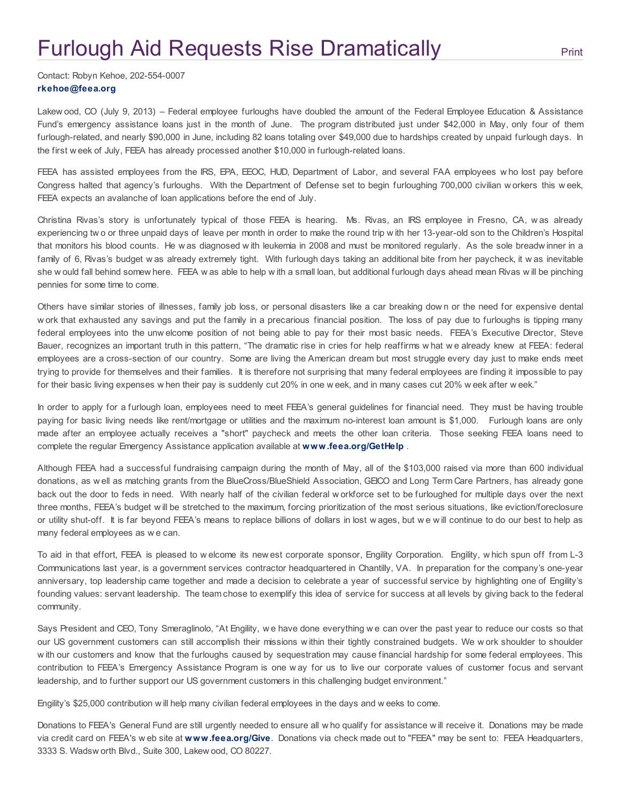## **Furlough Aid Requests Rise [Dramatically](http://www.feea.org/media-center/press-releases/308-press-releases-general/1573-feeas-furlough-aid-requests-rise-dramatically) Fight Serint** [Print](http://www.feea.org/media-center/press-releases/308-press-releases-general/1573-feeas-furlough-aid-requests-rise-dramatically#)

Contact: Robyn Kehoe, 202-554-0007 [rkehoe@feea.org](mailto:rkehoe@feea.org)

Lakew ood, CO (July 9, 2013) – Federal employee furloughs have doubled the amount of the Federal Employee Education & Assistance Fund's emergency assistance loans just in the month of June. The program distributed just under \$42,000 in May, only four of them furlough-related, and nearly \$90,000 in June, including 82 loans totaling over \$49,000 due to hardships created by unpaid furlough days. In the first w eek of July, FEEA has already processed another \$10,000 in furlough-related loans.

FEEA has assisted employees from the IRS, EPA, EEOC, HUD, Department of Labor, and several FAA employees w ho lost pay before Congress halted that agency's furloughs. With the Department of Defense set to begin furloughing 700,000 civilian w orkers this w eek, FEEA expects an avalanche of loan applications before the end of July.

Christina Rivas's story is unfortunately typical of those FEEA is hearing. Ms. Rivas, an IRS employee in Fresno, CA, w as already experiencing tw o or three unpaid days of leave per month in order to make the round trip w ith her 13-year-old son to the Children's Hospital that monitors his blood counts. He w as diagnosed w ith leukemia in 2008 and must be monitored regularly. As the sole breadw inner in a family of 6, Rivas's budget w as already extremely tight. With furlough days taking an additional bite from her paycheck, it w as inevitable she w ould fall behind somew here. FEEA w as able to help w ith a small loan, but additional furlough days ahead mean Rivas w ill be pinching pennies for some time to come.

Others have similar stories of illnesses, family job loss, or personal disasters like a car breaking dow n or the need for expensive dental w ork that exhausted any savings and put the family in a precarious financial position. The loss of pay due to furloughs is tipping many federal employees into the unw elcome position of not being able to pay for their most basic needs. FEEA's Executive Director, Steve Bauer, recognizes an important truth in this pattern, "The dramatic rise in cries for help reaffirms w hat w e already knew at FEEA: federal employees are a cross-section of our country. Some are living the American dream but most struggle every day just to make ends meet trying to provide for themselves and their families. It is therefore not surprising that many federal employees are finding it impossible to pay for their basic living expenses w hen their pay is suddenly cut 20% in one w eek, and in many cases cut 20% w eek after w eek."

In order to apply for a furlough loan, employees need to meet FEEA's general guidelines for financial need. They must be having trouble paying for basic living needs like rent/mortgage or utilities and the maximum no-interest loan amount is \$1,000. Furlough loans are only made after an employee actually receives a "short" paycheck and meets the other loan criteria. Those seeking FEEA loans need to complete the regular Emergency Assistance application available at [www.feea.org/GetHelp](http://www.feea.org/GetHelp).

Although FEEA had a successful fundraising campaign during the month of May, all of the \$103,000 raised via more than 600 individual donations, as w ell as matching grants from the BlueCross/BlueShield Association, GEICO and Long Term Care Partners, has already gone back out the door to feds in need. With nearly half of the civilian federal w orkforce set to be furloughed for multiple days over the next three months, FEEA's budget w ill be stretched to the maximum, forcing prioritization of the most serious situations, like eviction/foreclosure or utility shut-off. It is far beyond FEEA's means to replace billions of dollars in lost w ages, but w e w ill continue to do our best to help as many federal employees as w e can.

To aid in that effort, FEEA is pleased to w elcome its new est corporate sponsor, Engility Corporation. Engility, w hich spun off from L-3 Communications last year, is a government services contractor headquartered in Chantilly, VA. In preparation for the company's one-year anniversary, top leadership came together and made a decision to celebrate a year of successful service by highlighting one of Engility's founding values: servant leadership. The team chose to exemplify this idea of service for success at all levels by giving back to the federal community.

Says President and CEO, Tony Smeraglinolo, "At Engility, we have done everything we can over the past year to reduce our costs so that our US government customers can still accomplish their missions w ithin their tightly constrained budgets. We w ork shoulder to shoulder w ith our customers and know that the furloughs caused by sequestration may cause financial hardship for some federal employees. This contribution to FEEA's Emergency Assistance Program is one w ay for us to live our corporate values of customer focus and servant leadership, and to further support our US government customers in this challenging budget environment."

Engility's \$25,000 contribution w ill help many civilian federal employees in the days and w eeks to come.

Donations to FEEA's General Fund are still urgently needed to ensure all w ho qualify for assistance w ill receive it. Donations may be made via credit card on FEEA's w eb site at [www.feea.org/Give](http://www.feea.org/Give). Donations via check made out to "FEEA" may be sent to: FEEA Headquarters, 3333 S. Wadsw orth Blvd., Suite 300, Lakew ood, CO 80227.